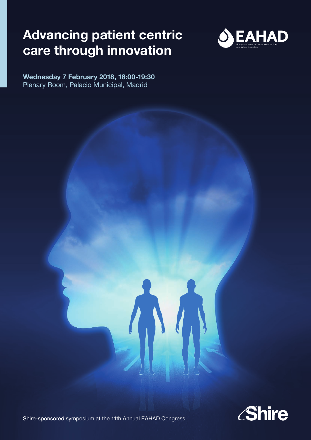## **Advancing patient centric care through innovation**



**Wednesday 7 February 2018, 18:00-19:30** Plenary Room, Palacio Municipal, Madrid